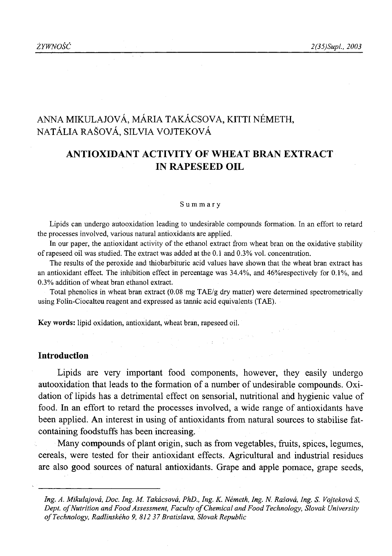# ANNA MIKULAJOVÁ, MÁRIA TAKÁCSOVA, KITTI NÉMETH, NATÁLIA RAŠOVÁ, SILVIA VOJTEKOVÁ

## **ANTIOXIDANT ACTIVITY OF WHEAT BRAN EXTRACT IN RAPESEED OIL**

#### Summary

Lipids can undergo autooxidation leading to undesirable compounds formation. In an effort to retard the processes involved, various natural antioxidants are applied.

In our paper, the antioxidant activity of the ethanol extract from wheat bran on the oxidative stability of rapeseed oil was studied. The extract was added at the 0.1 and 0.3% vol. concentration.

The results of the peroxide and thiobarbituric acid values have shown that the wheat bran extract has an antioxidant effect. The inhibition effect in percentage was 34.4%, and 46%respectively for 0.1%, and 0.3% addition of wheat bran ethanol extract.

Total phenolics in wheat bran extract (0.08 mg TAE/g dry matter) were determined spectrometrically using Folin-Ciocalteu reagent and expressed as tannic acid equivalents (TAE).

Key words: lipid oxidation, antioxidant, wheat bran, rapeseed oil.

#### **Introduction**

Lipids are very important food components, however, they easily undergo autooxidation that leads to the formation of a number of undesirable compounds. Oxidation of lipids has a detrimental effect on sensorial, nutritional and hygienic value of food. In an effort to retard the processes involved, a wide range of antioxidants have been applied. An interest in using of antioxidants from natural sources to stabilise fatcontaining foodstuffs has been increasing.

Many compounds of plant origin, such as from vegetables, fruits, spices, legumes, cereals, were tested for their antioxidant effects. Agricultural and industrial residues are also good sources of natural antioxidants. Grape and apple pomace, grape seeds,

*Ing. A. Mikulajova, Doc. Ing. M. Takacsova, PhD., Ing. K. Nemeth, Ing. N. Rasova, Ing. S. Vojtekova S,* Dept. of Nutrition and Food Assessment, Faculty of Chemical and Food Technology, Slovak University *o f Technology, Radlinskeho 9, 812 37 Bratislava, Slovak Republic*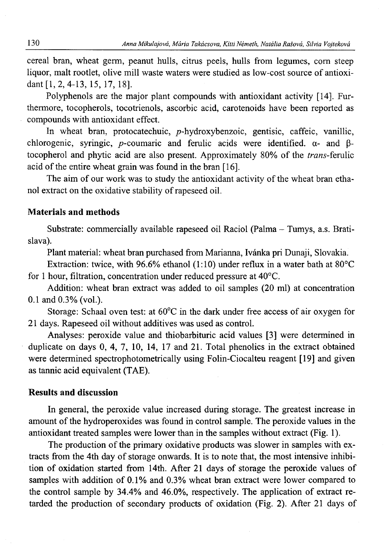cereal bran, wheat germ, peanut hulls, citrus peels, hulls from legumes, com steep liquor, malt rootlet, olive mill waste waters were studied as low-cost source of antioxidant [1,2, 4-13, 15, 17, 18].

Polyphenols are the major plant compounds with antioxidant activity [14], Furthermore, tocopherols, tocotrienols, ascorbic acid, carotenoids have been reported as compounds with antioxidant effect.

In wheat bran, protocatechuic, p-hydroxybenzoic, gentisic, caffeic, vanillic, chlorogenic, syringic, p-coumaric and ferulic acids were identified.  $\alpha$ - and  $\beta$ tocopherol and phytic acid are also present. Approximately 80% of the *trans-femlic* acid of the entire wheat grain was found in the bran [16].

The aim of our work was to study the antioxidant activity of the wheat bran ethanol extract on the oxidative stability of rapeseed oil.

## **Materials and methods**

Substrate: commercially available rapeseed oil Raciol (Palma - Tumys, a.s. Bratislava).

Plant material: wheat bran purchased from Marianna, Ivánka pri Dunaji, Slovakia.

Extraction: twice, with 96.6% ethanol (1:10) under reflux in a water bath at 80°C for 1 hour, filtration, concentration under reduced pressure at 40°C.

Addition: wheat bran extract was added to oil samples (20 ml) at concentration 0.1 and 0.3% (vol.).

Storage: Schaal oven test: at 60°C in the dark under free access of air oxygen for 21 days. Rapeseed oil without additives was used as control.

Analyses: peroxide value and thiobarbituric acid values [3] were determined in duplicate on days 0, 4, 7, 10, 14, 17 and 21. Total phenolics in the extract obtained were determined spectrophotometrically using Folin-Ciocalteu reagent [19] and given as tannic acid equivalent (TAE).

## **Results and discussion**

In general, the peroxide value increased during storage. The greatest increase in amount of the hydroperoxides was found in control sample. The peroxide values in the antioxidant treated samples were lower than in the samples without extract (Fig. 1).

The production of the primary oxidative products was slower in samples with extracts from the 4th day of storage onwards. It is to note that, the most intensive inhibition of oxidation started from 14th. After 21 days of storage the peroxide values of samples with addition of 0.1% and 0.3% wheat bran extract were lower compared to the control sample by 34.4% and 46.0%, respectively. The application of extract retarded the production of secondary products of oxidation (Fig. 2). After 21 days of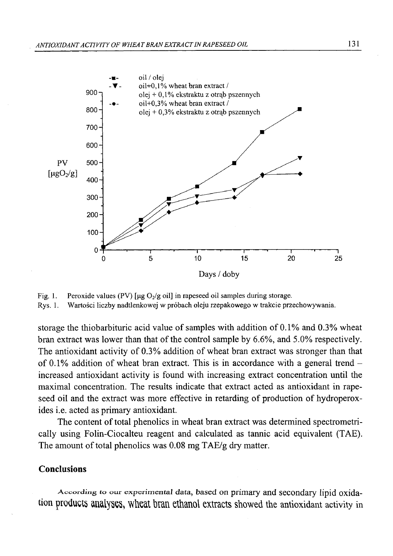

Fig. 1. Peroxide values (PV) [ $\mu$ g O<sub>2</sub>/g oil] in rapeseed oil samples during storage. Rys. 1. Wartości liczby nadtlenkowej w próbach oleju rzepakowego w trakcie przechowywania.

storage the thiobarbituric acid value of samples with addition of 0.1% and 0.3% wheat bran extract was lower than that of the control sample by <sup>6</sup> .<sup>6</sup> %, and 5.0% respectively. The antioxidant activity of 0.3% addition of wheat bran extract was stronger than that of 0.1% addition of wheat bran extract. This is in accordance with a general trend  $$ increased antioxidant activity is found with increasing extract concentration until the maximal concentration. The results indicate that extract acted as antioxidant in rapeseed oil and the extract was more effective in retarding of production of hydroperoxides i.e. acted as primary antioxidant.

The content of total phenolics in wheat bran extract was determined spectrometrically using Folin-Ciocalteu reagent and calculated as tannic acid equivalent (TAE). The amount of total phenolics was 0.08 mg TAE/g dry matter.

## **Conclusions**

**A ccord in g to our experim ental data,** based on primary and secondary lipid oxidation **products analyses, wheat bran ethanol extracts** showed the antioxidant activity in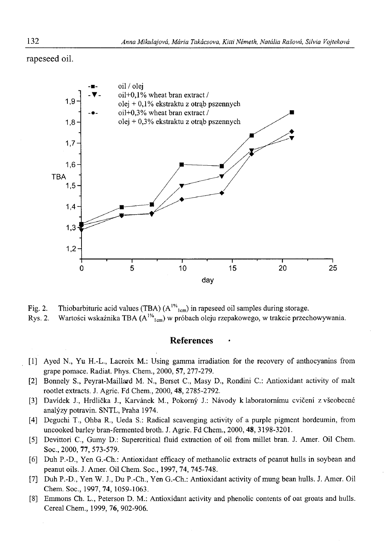rapeseed oil.



Fig. 2. Thiobarbituric acid values (TBA)  $(A^{1\%})_{cm}$  in rapeseed oil samples during storage. Rys. 2. Wartości wskaźnika TBA  $(A^{1/6}I_{cm})$  w próbach oleju rzepakowego, w trakcie przechowywania.

### **References •**

- [1] Ayed N., Yu H.-L., Lacroix M.: Using gamma irradiation for the recovery of anthocyanins from grape pomace. Radiat. Phys. Chem., 2000, 57, 277-279.
- [2] Bonnely S., Peyrat-Maillard M. N., Berset C., Masy D., Rondini C.: Antioxidant activity of malt rootlet extracts. J. Agric. Fd Chem., 2000, 48, 2785-2792.
- [3] Davidek J., Hrdlicka J., Karvanek M., Pokorny J.: Navody k laboratomimu cviceni z vseobecne analyzy potravin. SNTL, Praha 1974.
- [4] Deguchi T., Ohba R., Ueda S.: Radical scavenging activity of a purple pigment hordeumin, from uncooked barley bran-fermented broth. J. Agric. Fd Chem., 2000, 48, 3198-3201.
- [5] Devittori C., Gumy D.: Supercritical fluid extraction of oil from millet bran. J. Amer. Oil Chem. Soc., 2000, 77, 573-579.
- [<sup>6</sup> ] Duh P.-D., Yen G.-Ch.: Antioxidant efficacy of methanolic extracts of peanut hulls in soybean and peanut oils. J. Amer. Oil Chem. Soc., 1997, 74, 745-748.
- [7] Duh P.-D., Yen W. J., Du P.-Ch., Yen G.-Ch.: Antioxidant activity of mung bean hulls. J. Amer. Oil Chem. Soc., 1997, 74, 1059-1063.
- [8] Emmons Ch. L., Peterson D. M.: Antioxidant activity and phenolic contents of oat groats and hulls. Cereal Chem., 1999, 76, 902-906.